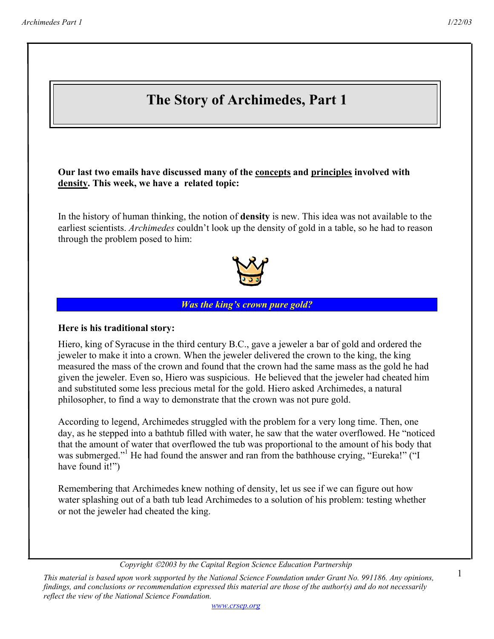1

# **The Story of Archimedes, Part 1**

**Our last two emails have discussed many of the concepts and principles involved with density. This week, we have a related topic:** 

In the history of human thinking, the notion of **density** is new. This idea was not available to the earliest scientists. *Archimedes* couldn't look up the density of gold in a table, so he had to reason through the problem posed to him:



#### *Was the king's crown pure gold?*

#### **Here is his traditional story:**

Hiero, king of Syracuse in the third century B.C., gave a jeweler a bar of gold and ordered the jeweler to make it into a crown. When the jeweler delivered the crown to the king, the king measured the mass of the crown and found that the crown had the same mass as the gold he had given the jeweler. Even so, Hiero was suspicious. He believed that the jeweler had cheated him and substituted some less precious metal for the gold. Hiero asked Archimedes, a natural philosopher, to find a way to demonstrate that the crown was not pure gold.

According to legend, Archimedes struggled with the problem for a very long time. Then, one day, as he stepped into a bathtub filled with water, he saw that the water overflowed. He "noticed that the amount of water that overflowed the tub was proportional to the amount of his body that was submerged."<sup>1</sup> He had found the answer and ran from the bathhouse crying, "Eureka!" ("I have found it!")

Remembering that Archimedes knew nothing of density, let us see if we can figure out how water splashing out of a bath tub lead Archimedes to a solution of his problem: testing whether or not the jeweler had cheated the king.

*Copyright 2003 by the Capital Region Science Education Partnership* 

*This material is based upon work supported by the National Science Foundation under Grant No. 991186. Any opinions, findings, and conclusions or recommendation expressed this material are those of the author(s) and do not necessarily reflect the view of the National Science Foundation.*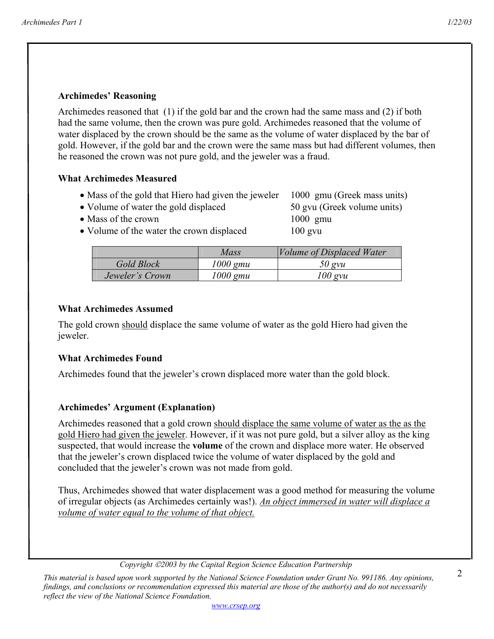## **Archimedes' Reasoning**

Archimedes reasoned that (1) if the gold bar and the crown had the same mass and (2) if both had the same volume, then the crown was pure gold. Archimedes reasoned that the volume of water displaced by the crown should be the same as the volume of water displaced by the bar of gold. However, if the gold bar and the crown were the same mass but had different volumes, then he reasoned the crown was not pure gold, and the jeweler was a fraud.

## **What Archimedes Measured**

- Mass of the gold that Hiero had given the jeweler 1000 gmu (Greek mass units)
- Volume of water the gold displaced 50 gvu (Greek volume units)
- Mass of the crown 1000 gmu
- Volume of the water the crown displaced 100 gvu

|                 | Mass       | <i>Volume of Displaced Water</i> |
|-----------------|------------|----------------------------------|
| Gold Block      | 1000 gmu   | 50 gvu                           |
| Jeweler's Crown | $1000$ gmu | $100$ gvu                        |

## **What Archimedes Assumed**

The gold crown should displace the same volume of water as the gold Hiero had given the jeweler.

## **What Archimedes Found**

Archimedes found that the jeweler's crown displaced more water than the gold block.

## **Archimedes' Argument (Explanation)**

Archimedes reasoned that a gold crown should displace the same volume of water as the as the gold Hiero had given the jeweler. However, if it was not pure gold, but a silver alloy as the king suspected, that would increase the **volume** of the crown and displace more water. He observed that the jeweler's crown displaced twice the volume of water displaced by the gold and concluded that the jeweler's crown was not made from gold.

Thus, Archimedes showed that water displacement was a good method for measuring the volume of irregular objects (as Archimedes certainly was!). *An object immersed in water will displace a volume of water equal to the volume of that object.*

*Copyright 2003 by the Capital Region Science Education Partnership* 

*This material is based upon work supported by the National Science Foundation under Grant No. 991186. Any opinions, findings, and conclusions or recommendation expressed this material are those of the author(s) and do not necessarily reflect the view of the National Science Foundation.*